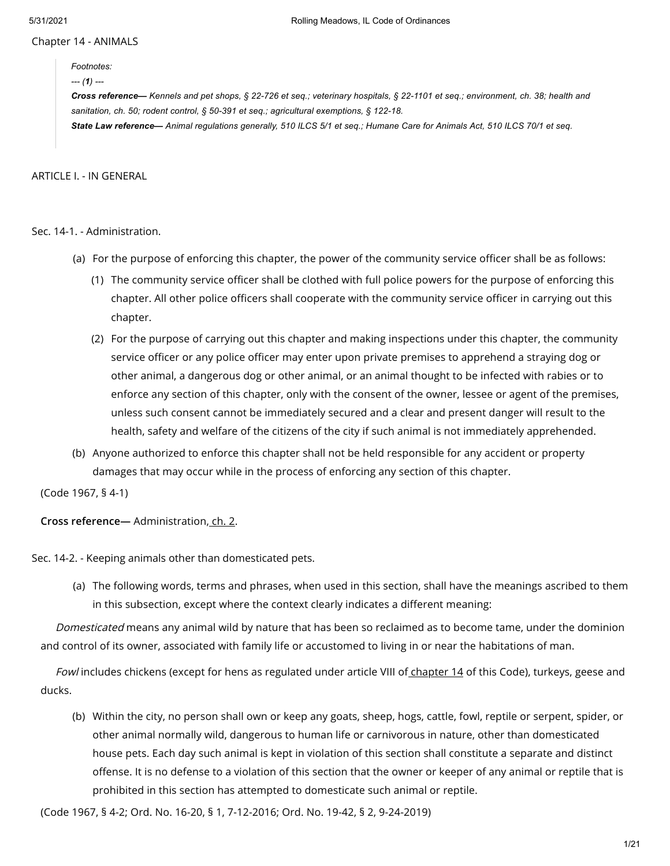Chapter 14 - ANIMALS

*Footnotes: --- (1) ---*

Cross reference— Kennels and pet shops, § 22-726 et seq.; veterinary hospitals, § 22-1101 et seq.; environment, ch. 38; health and *sanitation, ch. 50; rodent control, § 50-391 et seq.; agricultural exemptions, § 122-18.* State Law reference- Animal regulations generally, 510 ILCS 5/1 et seq.; Humane Care for Animals Act, 510 ILCS 70/1 et seq.

ARTICLE I. - IN GENERAL

Sec. 14-1. - Administration.

- (a) For the purpose of enforcing this chapter, the power of the community service officer shall be as follows:
	- (1) The community service officer shall be clothed with full police powers for the purpose of enforcing this chapter. All other police officers shall cooperate with the community service officer in carrying out this chapter.
	- (2) For the purpose of carrying out this chapter and making inspections under this chapter, the community service officer or any police officer may enter upon private premises to apprehend a straying dog or other animal, a dangerous dog or other animal, or an animal thought to be infected with rabies or to enforce any section of this chapter, only with the consent of the owner, lessee or agent of the premises, unless such consent cannot be immediately secured and a clear and present danger will result to the health, safety and welfare of the citizens of the city if such animal is not immediately apprehended.
- (b) Anyone authorized to enforce this chapter shall not be held responsible for any accident or property damages that may occur while in the process of enforcing any section of this chapter.

(Code 1967, § 4-1)

**Cross reference—** Administration, [ch.](https://library.municode.com/) 2.

Sec. 14-2. - Keeping animals other than domesticated pets.

(a) The following words, terms and phrases, when used in this section, shall have the meanings ascribed to them in this subsection, except where the context clearly indicates a different meaning:

Domesticated means any animal wild by nature that has been so reclaimed as to become tame, under the dominion and control of its owner, associated with family life or accustomed to living in or near the habitations of man.

Fowl includes chickens (except for hens as regulated under article VIII of [chapter](https://library.municode.com/) 14 of this Code), turkeys, geese and ducks.

(b) Within the city, no person shall own or keep any goats, sheep, hogs, cattle, fowl, reptile or serpent, spider, or other animal normally wild, dangerous to human life or carnivorous in nature, other than domesticated house pets. Each day such animal is kept in violation of this section shall constitute a separate and distinct offense. It is no defense to a violation of this section that the owner or keeper of any animal or reptile that is prohibited in this section has attempted to domesticate such animal or reptile.

(Code 1967, § 4-2; Ord. No. 16-20, § 1, 7-12-2016; Ord. No. 19-42, § 2, 9-24-2019)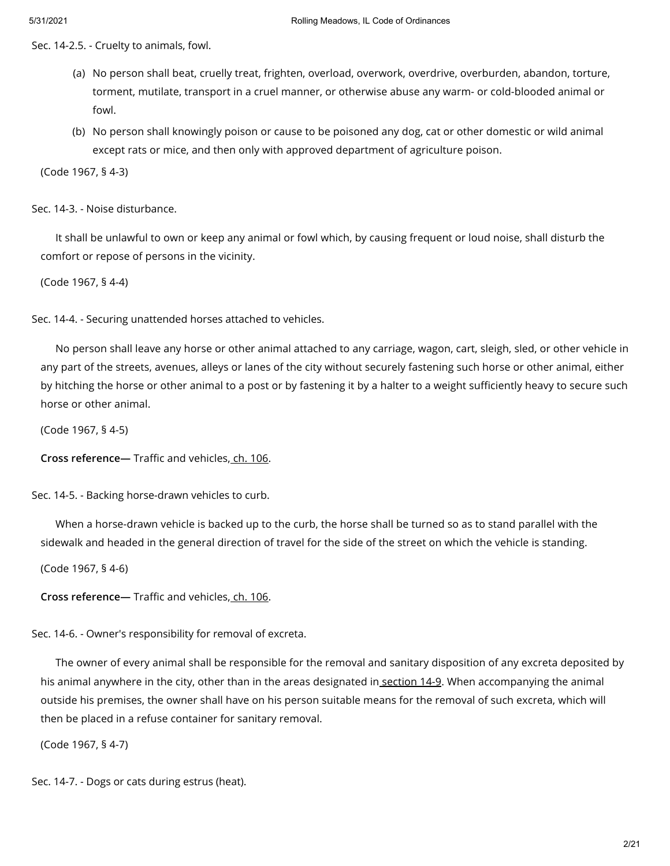Sec. 14-2.5. - Cruelty to animals, fowl.

- (a) No person shall beat, cruelly treat, frighten, overload, overwork, overdrive, overburden, abandon, torture, torment, mutilate, transport in a cruel manner, or otherwise abuse any warm- or cold-blooded animal or fowl.
- (b) No person shall knowingly poison or cause to be poisoned any dog, cat or other domestic or wild animal except rats or mice, and then only with approved department of agriculture poison.

(Code 1967, § 4-3)

Sec. 14-3. - Noise disturbance.

It shall be unlawful to own or keep any animal or fowl which, by causing frequent or loud noise, shall disturb the comfort or repose of persons in the vicinity.

(Code 1967, § 4-4)

Sec. 14-4. - Securing unattended horses attached to vehicles.

No person shall leave any horse or other animal attached to any carriage, wagon, cart, sleigh, sled, or other vehicle in any part of the streets, avenues, alleys or lanes of the city without securely fastening such horse or other animal, either by hitching the horse or other animal to a post or by fastening it by a halter to a weight sufficiently heavy to secure such horse or other animal.

(Code 1967, § 4-5)

**Cross reference—** Traffic and vehicles, ch. [106](https://library.municode.com/).

Sec. 14-5. - Backing horse-drawn vehicles to curb.

When a horse-drawn vehicle is backed up to the curb, the horse shall be turned so as to stand parallel with the sidewalk and headed in the general direction of travel for the side of the street on which the vehicle is standing.

(Code 1967, § 4-6)

**Cross reference—** Traffic and vehicles, ch. [106](https://library.municode.com/).

Sec. 14-6. - Owner's responsibility for removal of excreta.

The owner of every animal shall be responsible for the removal and sanitary disposition of any excreta deposited by his animal anywhere in the city, other than in the areas designated in [section](https://library.municode.com/) 14-9. When accompanying the animal outside his premises, the owner shall have on his person suitable means for the removal of such excreta, which will then be placed in a refuse container for sanitary removal.

(Code 1967, § 4-7)

Sec. 14-7. - Dogs or cats during estrus (heat).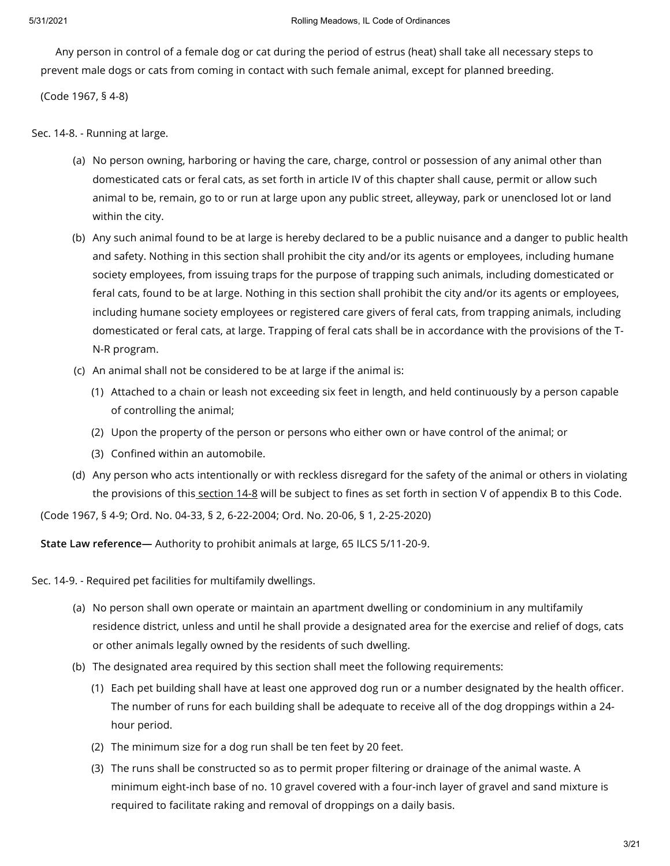Any person in control of a female dog or cat during the period of estrus (heat) shall take all necessary steps to prevent male dogs or cats from coming in contact with such female animal, except for planned breeding.

(Code 1967, § 4-8)

Sec. 14-8. - Running at large.

- (a) No person owning, harboring or having the care, charge, control or possession of any animal other than domesticated cats or feral cats, as set forth in article IV of this chapter shall cause, permit or allow such animal to be, remain, go to or run at large upon any public street, alleyway, park or unenclosed lot or land within the city.
- (b) Any such animal found to be at large is hereby declared to be a public nuisance and a danger to public health and safety. Nothing in this section shall prohibit the city and/or its agents or employees, including humane society employees, from issuing traps for the purpose of trapping such animals, including domesticated or feral cats, found to be at large. Nothing in this section shall prohibit the city and/or its agents or employees, including humane society employees or registered care givers of feral cats, from trapping animals, including domesticated or feral cats, at large. Trapping of feral cats shall be in accordance with the provisions of the T-N-R program.
- (c) An animal shall not be considered to be at large if the animal is:
	- (1) Attached to a chain or leash not exceeding six feet in length, and held continuously by a person capable of controlling the animal;
	- (2) Upon the property of the person or persons who either own or have control of the animal; or
	- (3) Confined within an automobile.
- (d) Any person who acts intentionally or with reckless disregard for the safety of the animal or others in violating the provisions of this [section](https://library.municode.com/) 14-8 will be subject to fines as set forth in section V of appendix B to this Code.

(Code 1967, § 4-9; Ord. No. 04-33, § 2, 6-22-2004; Ord. No. 20-06, § 1, 2-25-2020)

**State Law reference—** Authority to prohibit animals at large, 65 ILCS 5/11-20-9.

Sec. 14-9. - Required pet facilities for multifamily dwellings.

- (a) No person shall own operate or maintain an apartment dwelling or condominium in any multifamily residence district, unless and until he shall provide a designated area for the exercise and relief of dogs, cats or other animals legally owned by the residents of such dwelling.
- (b) The designated area required by this section shall meet the following requirements:
	- (1) Each pet building shall have at least one approved dog run or a number designated by the health officer. The number of runs for each building shall be adequate to receive all of the dog droppings within a 24 hour period.
	- (2) The minimum size for a dog run shall be ten feet by 20 feet.
	- (3) The runs shall be constructed so as to permit proper filtering or drainage of the animal waste. A minimum eight-inch base of no. 10 gravel covered with a four-inch layer of gravel and sand mixture is required to facilitate raking and removal of droppings on a daily basis.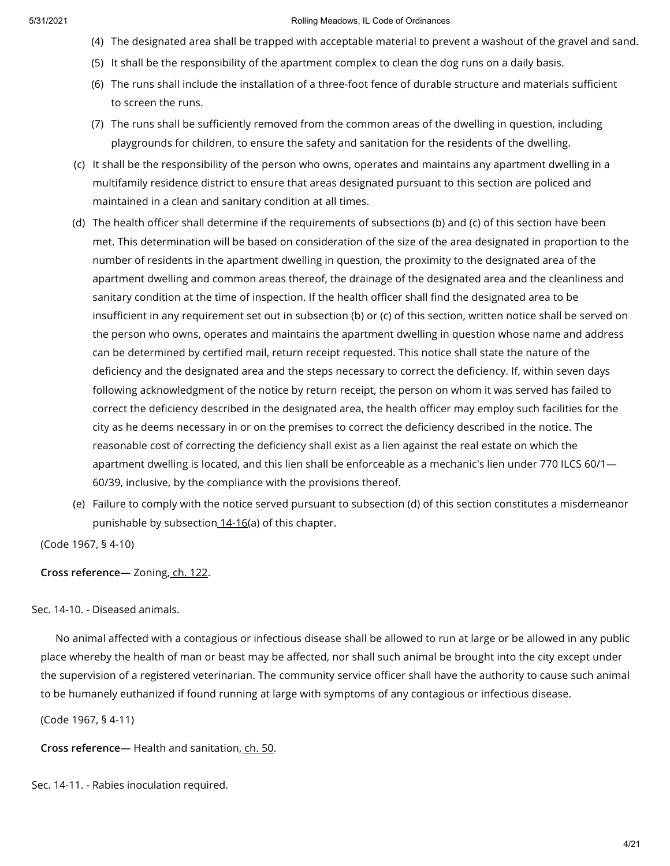- (4) The designated area shall be trapped with acceptable material to prevent a washout of the gravel and sand.
- (5) It shall be the responsibility of the apartment complex to clean the dog runs on a daily basis.
- (6) The runs shall include the installation of a three-foot fence of durable structure and materials sufficient to screen the runs.
- (7) The runs shall be sufficiently removed from the common areas of the dwelling in question, including playgrounds for children, to ensure the safety and sanitation for the residents of the dwelling.
- (c) It shall be the responsibility of the person who owns, operates and maintains any apartment dwelling in a multifamily residence district to ensure that areas designated pursuant to this section are policed and maintained in a clean and sanitary condition at all times.
- (d) The health officer shall determine if the requirements of subsections (b) and (c) of this section have been met. This determination will be based on consideration of the size of the area designated in proportion to the number of residents in the apartment dwelling in question, the proximity to the designated area of the apartment dwelling and common areas thereof, the drainage of the designated area and the cleanliness and sanitary condition at the time of inspection. If the health officer shall find the designated area to be insufficient in any requirement set out in subsection (b) or (c) of this section, written notice shall be served on the person who owns, operates and maintains the apartment dwelling in question whose name and address can be determined by certified mail, return receipt requested. This notice shall state the nature of the deficiency and the designated area and the steps necessary to correct the deficiency. If, within seven days following acknowledgment of the notice by return receipt, the person on whom it was served has failed to correct the deficiency described in the designated area, the health officer may employ such facilities for the city as he deems necessary in or on the premises to correct the deficiency described in the notice. The reasonable cost of correcting the deficiency shall exist as a lien against the real estate on which the apartment dwelling is located, and this lien shall be enforceable as a mechanic's lien under 770 ILCS 60/1— 60/39, inclusive, by the compliance with the provisions thereof.
- (e) Failure to comply with the notice served pursuant to subsection (d) of this section constitutes a misdemeanor punishable by subsection [14-16](https://library.municode.com/)(a) of this chapter.

(Code 1967, § 4-10)

**Cross reference—** Zoning, ch. [122](https://library.municode.com/).

# Sec. 14-10. - Diseased animals.

No animal affected with a contagious or infectious disease shall be allowed to run at large or be allowed in any public place whereby the health of man or beast may be affected, nor shall such animal be brought into the city except under the supervision of a registered veterinarian. The community service officer shall have the authority to cause such animal to be humanely euthanized if found running at large with symptoms of any contagious or infectious disease.

(Code 1967, § 4-11)

**Cross reference—** Health and sanitation, [ch.](https://library.municode.com/) 50.

Sec. 14-11. - Rabies inoculation required.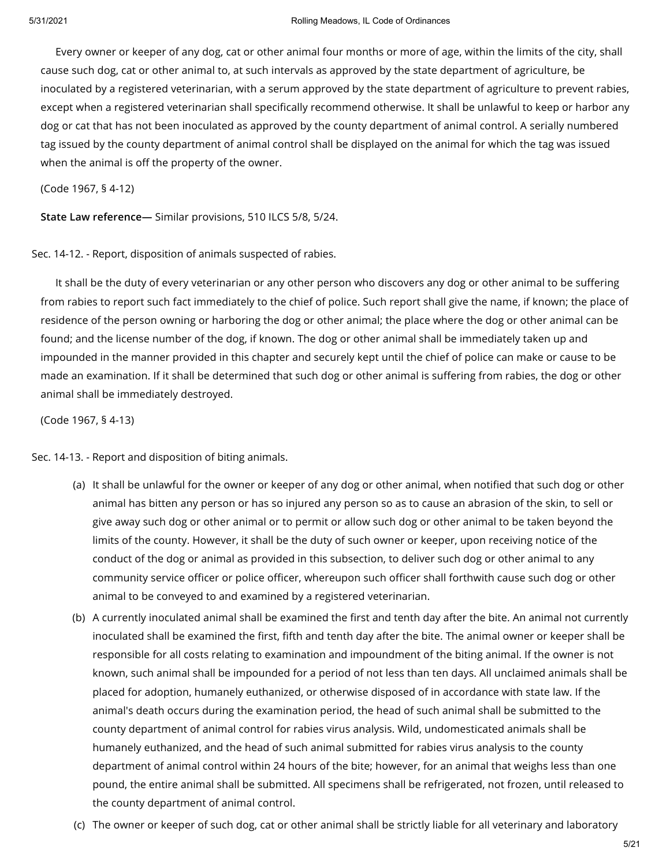Every owner or keeper of any dog, cat or other animal four months or more of age, within the limits of the city, shall cause such dog, cat or other animal to, at such intervals as approved by the state department of agriculture, be inoculated by a registered veterinarian, with a serum approved by the state department of agriculture to prevent rabies, except when a registered veterinarian shall specifically recommend otherwise. It shall be unlawful to keep or harbor any dog or cat that has not been inoculated as approved by the county department of animal control. A serially numbered tag issued by the county department of animal control shall be displayed on the animal for which the tag was issued when the animal is off the property of the owner.

(Code 1967, § 4-12)

**State Law reference—** Similar provisions, 510 ILCS 5/8, 5/24.

Sec. 14-12. - Report, disposition of animals suspected of rabies.

It shall be the duty of every veterinarian or any other person who discovers any dog or other animal to be suffering from rabies to report such fact immediately to the chief of police. Such report shall give the name, if known; the place of residence of the person owning or harboring the dog or other animal; the place where the dog or other animal can be found; and the license number of the dog, if known. The dog or other animal shall be immediately taken up and impounded in the manner provided in this chapter and securely kept until the chief of police can make or cause to be made an examination. If it shall be determined that such dog or other animal is suffering from rabies, the dog or other animal shall be immediately destroyed.

(Code 1967, § 4-13)

Sec. 14-13. - Report and disposition of biting animals.

- (a) It shall be unlawful for the owner or keeper of any dog or other animal, when notified that such dog or other animal has bitten any person or has so injured any person so as to cause an abrasion of the skin, to sell or give away such dog or other animal or to permit or allow such dog or other animal to be taken beyond the limits of the county. However, it shall be the duty of such owner or keeper, upon receiving notice of the conduct of the dog or animal as provided in this subsection, to deliver such dog or other animal to any community service officer or police officer, whereupon such officer shall forthwith cause such dog or other animal to be conveyed to and examined by a registered veterinarian.
- (b) A currently inoculated animal shall be examined the first and tenth day after the bite. An animal not currently inoculated shall be examined the first, fifth and tenth day after the bite. The animal owner or keeper shall be responsible for all costs relating to examination and impoundment of the biting animal. If the owner is not known, such animal shall be impounded for a period of not less than ten days. All unclaimed animals shall be placed for adoption, humanely euthanized, or otherwise disposed of in accordance with state law. If the animal's death occurs during the examination period, the head of such animal shall be submitted to the county department of animal control for rabies virus analysis. Wild, undomesticated animals shall be humanely euthanized, and the head of such animal submitted for rabies virus analysis to the county department of animal control within 24 hours of the bite; however, for an animal that weighs less than one pound, the entire animal shall be submitted. All specimens shall be refrigerated, not frozen, until released to the county department of animal control.
- (c) The owner or keeper of such dog, cat or other animal shall be strictly liable for all veterinary and laboratory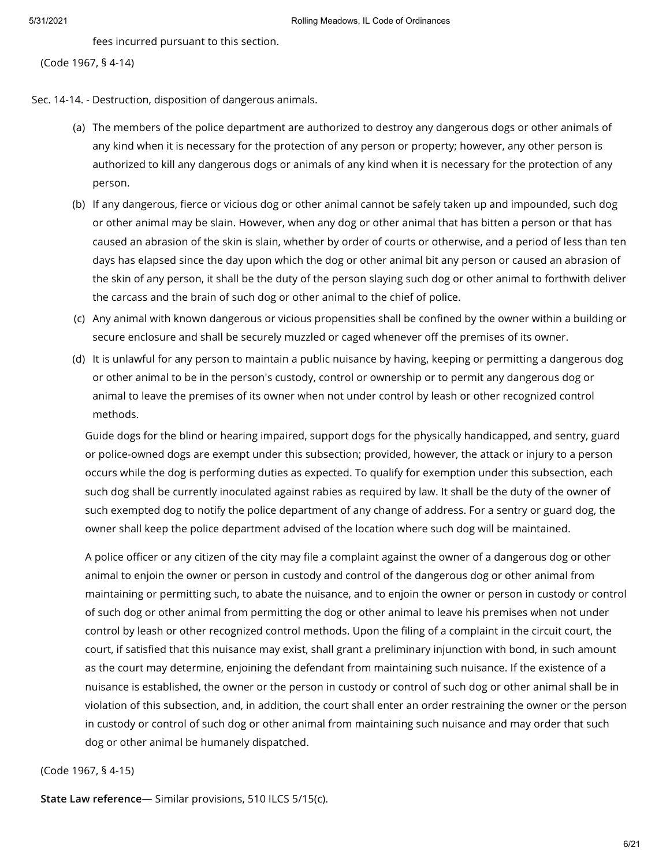fees incurred pursuant to this section.

Sec. 14-14. - Destruction, disposition of dangerous animals.

- (a) The members of the police department are authorized to destroy any dangerous dogs or other animals of any kind when it is necessary for the protection of any person or property; however, any other person is authorized to kill any dangerous dogs or animals of any kind when it is necessary for the protection of any person.
- (b) If any dangerous, fierce or vicious dog or other animal cannot be safely taken up and impounded, such dog or other animal may be slain. However, when any dog or other animal that has bitten a person or that has caused an abrasion of the skin is slain, whether by order of courts or otherwise, and a period of less than ten days has elapsed since the day upon which the dog or other animal bit any person or caused an abrasion of the skin of any person, it shall be the duty of the person slaying such dog or other animal to forthwith deliver the carcass and the brain of such dog or other animal to the chief of police.
- (c) Any animal with known dangerous or vicious propensities shall be confined by the owner within a building or secure enclosure and shall be securely muzzled or caged whenever off the premises of its owner.
- (d) It is unlawful for any person to maintain a public nuisance by having, keeping or permitting a dangerous dog or other animal to be in the person's custody, control or ownership or to permit any dangerous dog or animal to leave the premises of its owner when not under control by leash or other recognized control methods.

Guide dogs for the blind or hearing impaired, support dogs for the physically handicapped, and sentry, guard or police-owned dogs are exempt under this subsection; provided, however, the attack or injury to a person occurs while the dog is performing duties as expected. To qualify for exemption under this subsection, each such dog shall be currently inoculated against rabies as required by law. It shall be the duty of the owner of such exempted dog to notify the police department of any change of address. For a sentry or guard dog, the owner shall keep the police department advised of the location where such dog will be maintained.

A police officer or any citizen of the city may file a complaint against the owner of a dangerous dog or other animal to enjoin the owner or person in custody and control of the dangerous dog or other animal from maintaining or permitting such, to abate the nuisance, and to enjoin the owner or person in custody or control of such dog or other animal from permitting the dog or other animal to leave his premises when not under control by leash or other recognized control methods. Upon the filing of a complaint in the circuit court, the court, if satisfied that this nuisance may exist, shall grant a preliminary injunction with bond, in such amount as the court may determine, enjoining the defendant from maintaining such nuisance. If the existence of a nuisance is established, the owner or the person in custody or control of such dog or other animal shall be in violation of this subsection, and, in addition, the court shall enter an order restraining the owner or the person in custody or control of such dog or other animal from maintaining such nuisance and may order that such dog or other animal be humanely dispatched.

# (Code 1967, § 4-15)

**State Law reference—** Similar provisions, 510 ILCS 5/15(c).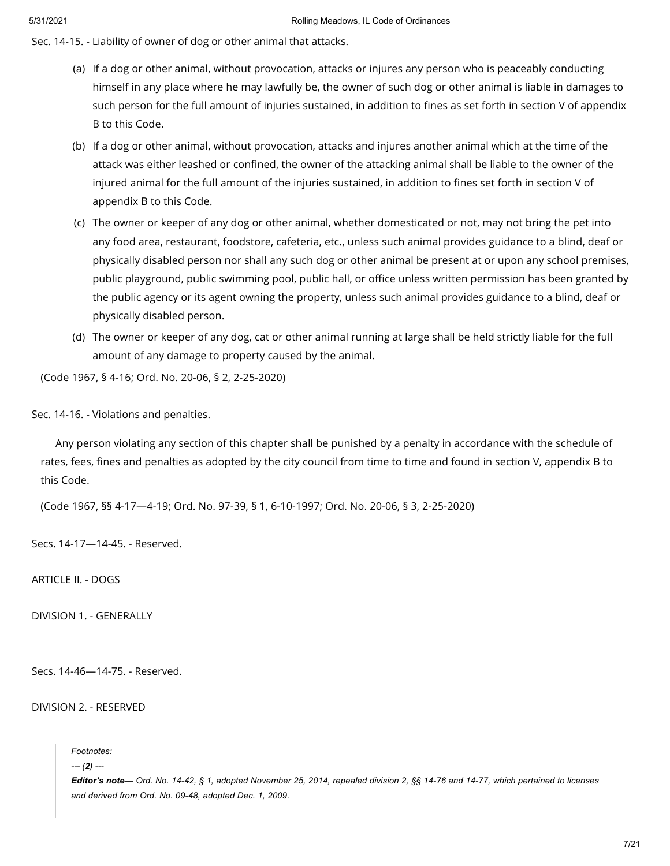Sec. 14-15. - Liability of owner of dog or other animal that attacks.

- (a) If a dog or other animal, without provocation, attacks or injures any person who is peaceably conducting himself in any place where he may lawfully be, the owner of such dog or other animal is liable in damages to such person for the full amount of injuries sustained, in addition to fines as set forth in section V of appendix B to this Code.
- (b) If a dog or other animal, without provocation, attacks and injures another animal which at the time of the attack was either leashed or confined, the owner of the attacking animal shall be liable to the owner of the injured animal for the full amount of the injuries sustained, in addition to fines set forth in section V of appendix B to this Code.
- (c) The owner or keeper of any dog or other animal, whether domesticated or not, may not bring the pet into any food area, restaurant, foodstore, cafeteria, etc., unless such animal provides guidance to a blind, deaf or physically disabled person nor shall any such dog or other animal be present at or upon any school premises, public playground, public swimming pool, public hall, or office unless written permission has been granted by the public agency or its agent owning the property, unless such animal provides guidance to a blind, deaf or physically disabled person.
- (d) The owner or keeper of any dog, cat or other animal running at large shall be held strictly liable for the full amount of any damage to property caused by the animal.

(Code 1967, § 4-16; Ord. No. 20-06, § 2, 2-25-2020)

Sec. 14-16. - Violations and penalties.

Any person violating any section of this chapter shall be punished by a penalty in accordance with the schedule of rates, fees, fines and penalties as adopted by the city council from time to time and found in section V, appendix B to this Code.

(Code 1967, §§ 4-17—4-19; Ord. No. 97-39, § 1, 6-10-1997; Ord. No. 20-06, § 3, 2-25-2020)

Secs. 14-17—14-45. - Reserved.

ARTICLE II. - DOGS

DIVISION 1. - GENERALLY

Secs. 14-46—14-75. - Reserved.

## DIVISION 2. - RESERVED

*Footnotes:*

*--- (2) ---*

Editor's note- Ord. No. 14-42, § 1, adopted November 25, 2014, repealed division 2, §§ 14-76 and 14-77, which pertained to licenses *and derived from Ord. No. 09-48, adopted Dec. 1, 2009.*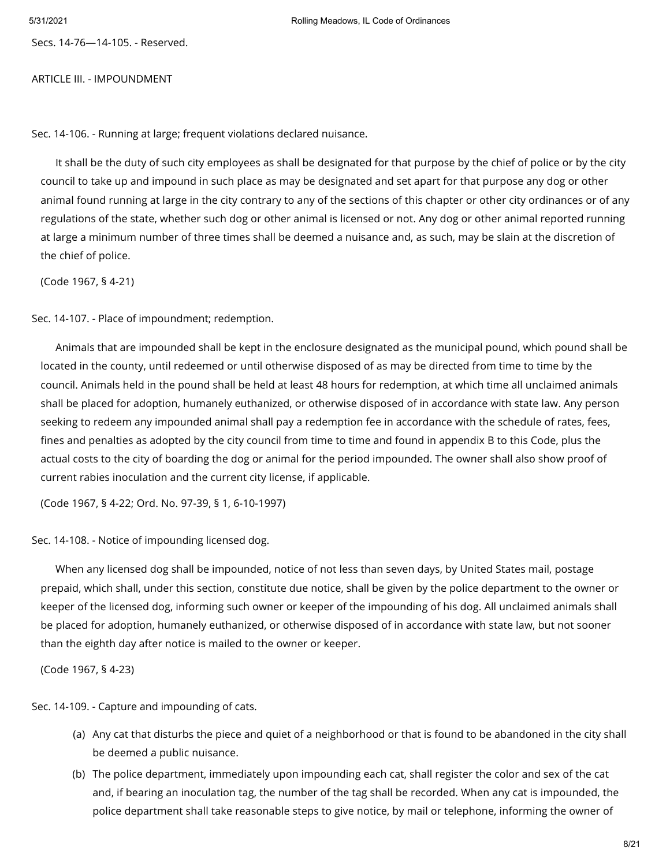Secs. 14-76—14-105. - Reserved.

## ARTICLE III. - IMPOUNDMENT

Sec. 14-106. - Running at large; frequent violations declared nuisance.

It shall be the duty of such city employees as shall be designated for that purpose by the chief of police or by the city council to take up and impound in such place as may be designated and set apart for that purpose any dog or other animal found running at large in the city contrary to any of the sections of this chapter or other city ordinances or of any regulations of the state, whether such dog or other animal is licensed or not. Any dog or other animal reported running at large a minimum number of three times shall be deemed a nuisance and, as such, may be slain at the discretion of the chief of police.

(Code 1967, § 4-21)

Sec. 14-107. - Place of impoundment; redemption.

Animals that are impounded shall be kept in the enclosure designated as the municipal pound, which pound shall be located in the county, until redeemed or until otherwise disposed of as may be directed from time to time by the council. Animals held in the pound shall be held at least 48 hours for redemption, at which time all unclaimed animals shall be placed for adoption, humanely euthanized, or otherwise disposed of in accordance with state law. Any person seeking to redeem any impounded animal shall pay a redemption fee in accordance with the schedule of rates, fees, fines and penalties as adopted by the city council from time to time and found in appendix B to this Code, plus the actual costs to the city of boarding the dog or animal for the period impounded. The owner shall also show proof of current rabies inoculation and the current city license, if applicable.

(Code 1967, § 4-22; Ord. No. 97-39, § 1, 6-10-1997)

Sec. 14-108. - Notice of impounding licensed dog.

When any licensed dog shall be impounded, notice of not less than seven days, by United States mail, postage prepaid, which shall, under this section, constitute due notice, shall be given by the police department to the owner or keeper of the licensed dog, informing such owner or keeper of the impounding of his dog. All unclaimed animals shall be placed for adoption, humanely euthanized, or otherwise disposed of in accordance with state law, but not sooner than the eighth day after notice is mailed to the owner or keeper.

(Code 1967, § 4-23)

Sec. 14-109. - Capture and impounding of cats.

- (a) Any cat that disturbs the piece and quiet of a neighborhood or that is found to be abandoned in the city shall be deemed a public nuisance.
- (b) The police department, immediately upon impounding each cat, shall register the color and sex of the cat and, if bearing an inoculation tag, the number of the tag shall be recorded. When any cat is impounded, the police department shall take reasonable steps to give notice, by mail or telephone, informing the owner of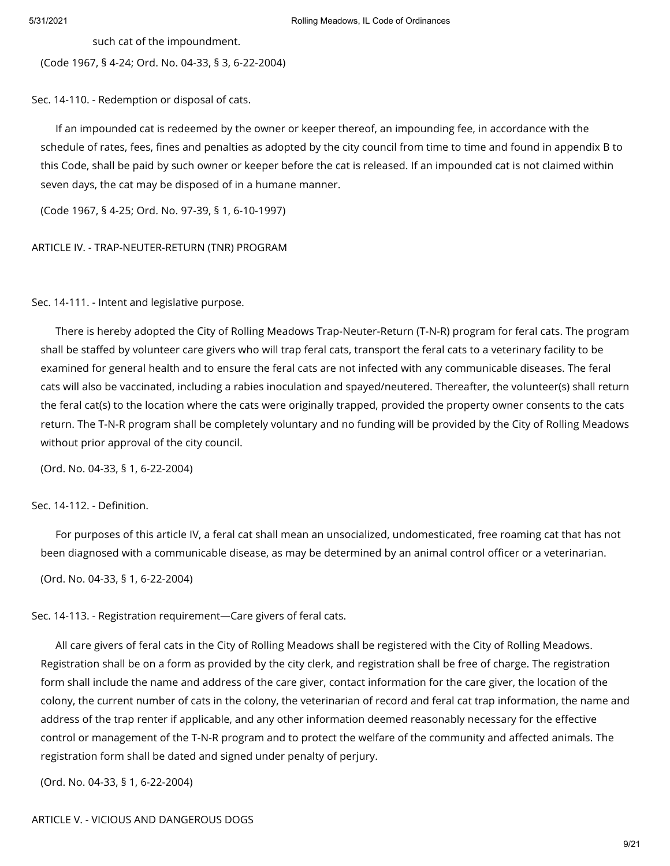such cat of the impoundment.

(Code 1967, § 4-24; Ord. No. 04-33, § 3, 6-22-2004)

Sec. 14-110. - Redemption or disposal of cats.

If an impounded cat is redeemed by the owner or keeper thereof, an impounding fee, in accordance with the schedule of rates, fees, fines and penalties as adopted by the city council from time to time and found in appendix B to this Code, shall be paid by such owner or keeper before the cat is released. If an impounded cat is not claimed within seven days, the cat may be disposed of in a humane manner.

(Code 1967, § 4-25; Ord. No. 97-39, § 1, 6-10-1997)

### ARTICLE IV. - TRAP-NEUTER-RETURN (TNR) PROGRAM

Sec. 14-111. - Intent and legislative purpose.

There is hereby adopted the City of Rolling Meadows Trap-Neuter-Return (T-N-R) program for feral cats. The program shall be staffed by volunteer care givers who will trap feral cats, transport the feral cats to a veterinary facility to be examined for general health and to ensure the feral cats are not infected with any communicable diseases. The feral cats will also be vaccinated, including a rabies inoculation and spayed/neutered. Thereafter, the volunteer(s) shall return the feral cat(s) to the location where the cats were originally trapped, provided the property owner consents to the cats return. The T-N-R program shall be completely voluntary and no funding will be provided by the City of Rolling Meadows without prior approval of the city council.

(Ord. No. 04-33, § 1, 6-22-2004)

# Sec. 14-112. - Definition.

For purposes of this article IV, a feral cat shall mean an unsocialized, undomesticated, free roaming cat that has not been diagnosed with a communicable disease, as may be determined by an animal control officer or a veterinarian.

(Ord. No. 04-33, § 1, 6-22-2004)

Sec. 14-113. - Registration requirement—Care givers of feral cats.

All care givers of feral cats in the City of Rolling Meadows shall be registered with the City of Rolling Meadows. Registration shall be on a form as provided by the city clerk, and registration shall be free of charge. The registration form shall include the name and address of the care giver, contact information for the care giver, the location of the colony, the current number of cats in the colony, the veterinarian of record and feral cat trap information, the name and address of the trap renter if applicable, and any other information deemed reasonably necessary for the effective control or management of the T-N-R program and to protect the welfare of the community and affected animals. The registration form shall be dated and signed under penalty of perjury.

(Ord. No. 04-33, § 1, 6-22-2004)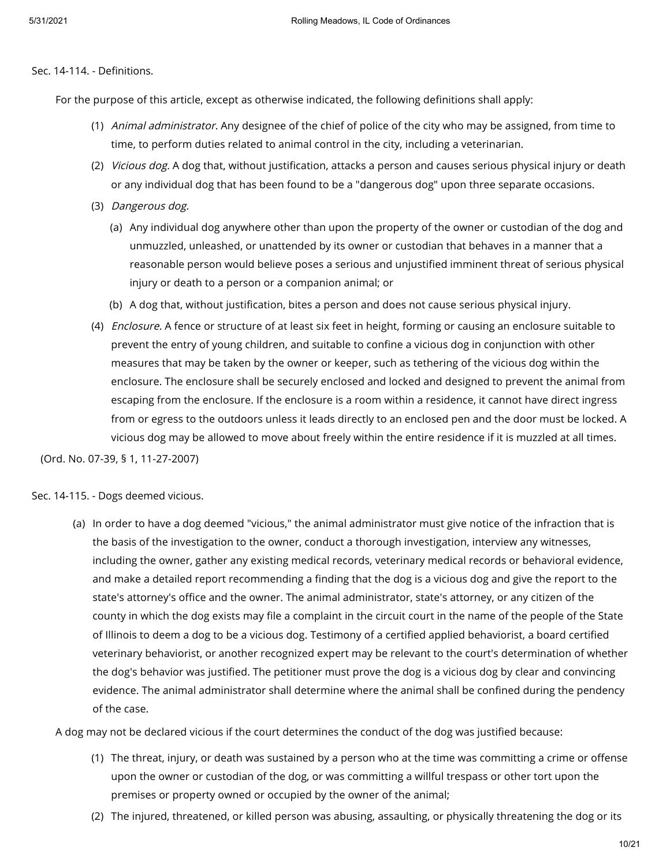## Sec. 14-114. - Definitions.

For the purpose of this article, except as otherwise indicated, the following definitions shall apply:

- (1) *Animal administrator.* Any designee of the chief of police of the city who may be assigned, from time to time, to perform duties related to animal control in the city, including a veterinarian.
- (2) Vicious dog. A dog that, without justification, attacks a person and causes serious physical injury or death or any individual dog that has been found to be a "dangerous dog" upon three separate occasions.
- (3) Dangerous dog.
	- (a) Any individual dog anywhere other than upon the property of the owner or custodian of the dog and unmuzzled, unleashed, or unattended by its owner or custodian that behaves in a manner that a reasonable person would believe poses a serious and unjustified imminent threat of serious physical injury or death to a person or a companion animal; or
	- (b) A dog that, without justification, bites a person and does not cause serious physical injury.
- (4) Enclosure. A fence or structure of at least six feet in height, forming or causing an enclosure suitable to prevent the entry of young children, and suitable to confine a vicious dog in conjunction with other measures that may be taken by the owner or keeper, such as tethering of the vicious dog within the enclosure. The enclosure shall be securely enclosed and locked and designed to prevent the animal from escaping from the enclosure. If the enclosure is a room within a residence, it cannot have direct ingress from or egress to the outdoors unless it leads directly to an enclosed pen and the door must be locked. A vicious dog may be allowed to move about freely within the entire residence if it is muzzled at all times.

(Ord. No. 07-39, § 1, 11-27-2007)

Sec. 14-115. - Dogs deemed vicious.

(a) In order to have a dog deemed "vicious," the animal administrator must give notice of the infraction that is the basis of the investigation to the owner, conduct a thorough investigation, interview any witnesses, including the owner, gather any existing medical records, veterinary medical records or behavioral evidence, and make a detailed report recommending a finding that the dog is a vicious dog and give the report to the state's attorney's office and the owner. The animal administrator, state's attorney, or any citizen of the county in which the dog exists may file a complaint in the circuit court in the name of the people of the State of Illinois to deem a dog to be a vicious dog. Testimony of a certified applied behaviorist, a board certified veterinary behaviorist, or another recognized expert may be relevant to the court's determination of whether the dog's behavior was justified. The petitioner must prove the dog is a vicious dog by clear and convincing evidence. The animal administrator shall determine where the animal shall be confined during the pendency of the case.

A dog may not be declared vicious if the court determines the conduct of the dog was justified because:

- (1) The threat, injury, or death was sustained by a person who at the time was committing a crime or offense upon the owner or custodian of the dog, or was committing a willful trespass or other tort upon the premises or property owned or occupied by the owner of the animal;
- (2) The injured, threatened, or killed person was abusing, assaulting, or physically threatening the dog or its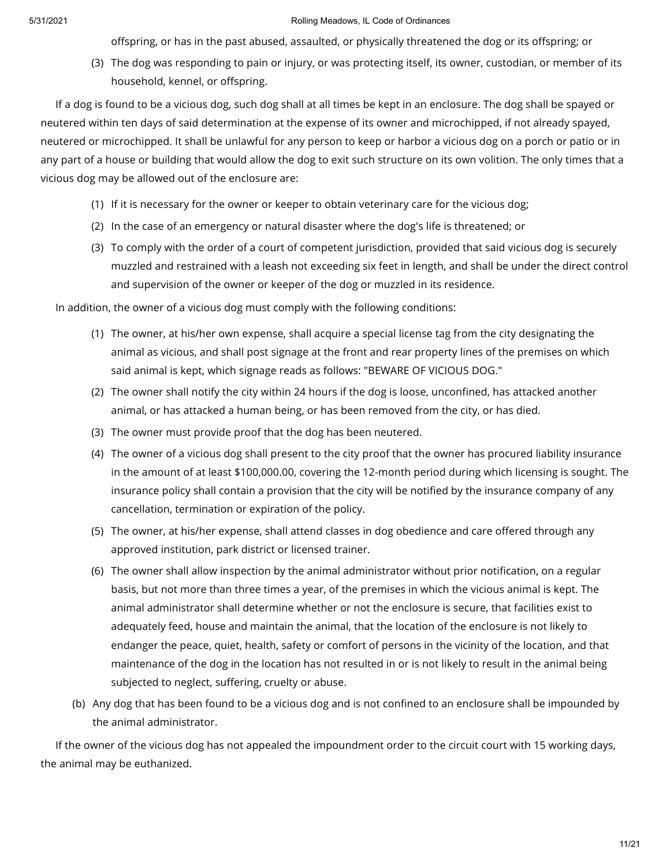offspring, or has in the past abused, assaulted, or physically threatened the dog or its offspring; or

(3) The dog was responding to pain or injury, or was protecting itself, its owner, custodian, or member of its household, kennel, or offspring.

If a dog is found to be a vicious dog, such dog shall at all times be kept in an enclosure. The dog shall be spayed or neutered within ten days of said determination at the expense of its owner and microchipped, if not already spayed, neutered or microchipped. It shall be unlawful for any person to keep or harbor a vicious dog on a porch or patio or in any part of a house or building that would allow the dog to exit such structure on its own volition. The only times that a vicious dog may be allowed out of the enclosure are:

- (1) If it is necessary for the owner or keeper to obtain veterinary care for the vicious dog;
- (2) In the case of an emergency or natural disaster where the dog's life is threatened; or
- (3) To comply with the order of a court of competent jurisdiction, provided that said vicious dog is securely muzzled and restrained with a leash not exceeding six feet in length, and shall be under the direct control and supervision of the owner or keeper of the dog or muzzled in its residence.

In addition, the owner of a vicious dog must comply with the following conditions:

- (1) The owner, at his/her own expense, shall acquire a special license tag from the city designating the animal as vicious, and shall post signage at the front and rear property lines of the premises on which said animal is kept, which signage reads as follows: "BEWARE OF VICIOUS DOG."
- (2) The owner shall notify the city within 24 hours if the dog is loose, unconfined, has attacked another animal, or has attacked a human being, or has been removed from the city, or has died.
- (3) The owner must provide proof that the dog has been neutered.
- (4) The owner of a vicious dog shall present to the city proof that the owner has procured liability insurance in the amount of at least \$100,000.00, covering the 12-month period during which licensing is sought. The insurance policy shall contain a provision that the city will be notified by the insurance company of any cancellation, termination or expiration of the policy.
- (5) The owner, at his/her expense, shall attend classes in dog obedience and care offered through any approved institution, park district or licensed trainer.
- (6) The owner shall allow inspection by the animal administrator without prior notification, on a regular basis, but not more than three times a year, of the premises in which the vicious animal is kept. The animal administrator shall determine whether or not the enclosure is secure, that facilities exist to adequately feed, house and maintain the animal, that the location of the enclosure is not likely to endanger the peace, quiet, health, safety or comfort of persons in the vicinity of the location, and that maintenance of the dog in the location has not resulted in or is not likely to result in the animal being subjected to neglect, suffering, cruelty or abuse.
- (b) Any dog that has been found to be a vicious dog and is not confined to an enclosure shall be impounded by the animal administrator.

If the owner of the vicious dog has not appealed the impoundment order to the circuit court with 15 working days, the animal may be euthanized.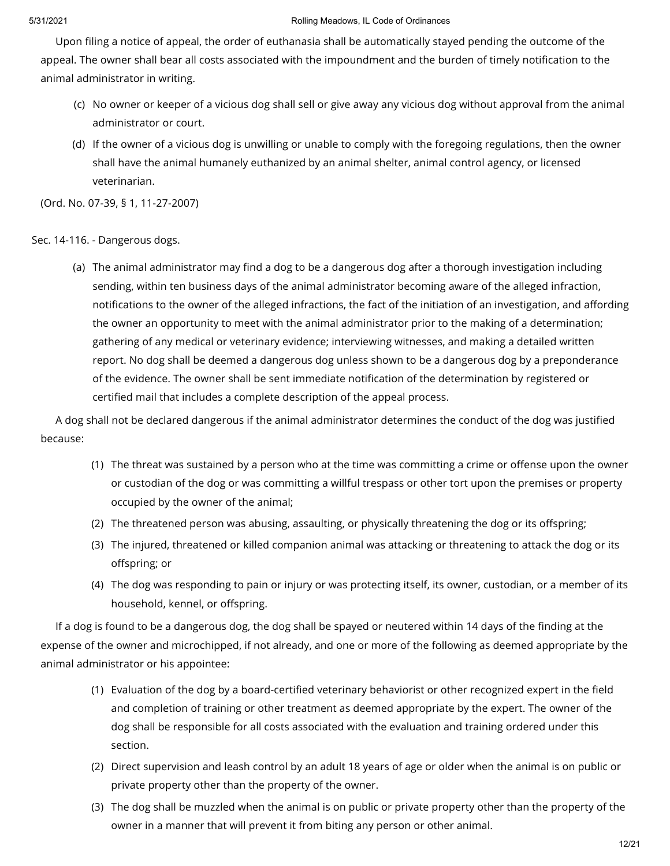Upon filing a notice of appeal, the order of euthanasia shall be automatically stayed pending the outcome of the appeal. The owner shall bear all costs associated with the impoundment and the burden of timely notification to the animal administrator in writing.

- (c) No owner or keeper of a vicious dog shall sell or give away any vicious dog without approval from the animal administrator or court.
- (d) If the owner of a vicious dog is unwilling or unable to comply with the foregoing regulations, then the owner shall have the animal humanely euthanized by an animal shelter, animal control agency, or licensed veterinarian.

(Ord. No. 07-39, § 1, 11-27-2007)

Sec. 14-116. - Dangerous dogs.

(a) The animal administrator may find a dog to be a dangerous dog after a thorough investigation including sending, within ten business days of the animal administrator becoming aware of the alleged infraction, notifications to the owner of the alleged infractions, the fact of the initiation of an investigation, and affording the owner an opportunity to meet with the animal administrator prior to the making of a determination; gathering of any medical or veterinary evidence; interviewing witnesses, and making a detailed written report. No dog shall be deemed a dangerous dog unless shown to be a dangerous dog by a preponderance of the evidence. The owner shall be sent immediate notification of the determination by registered or certified mail that includes a complete description of the appeal process.

A dog shall not be declared dangerous if the animal administrator determines the conduct of the dog was justified because:

- (1) The threat was sustained by a person who at the time was committing a crime or offense upon the owner or custodian of the dog or was committing a willful trespass or other tort upon the premises or property occupied by the owner of the animal;
- (2) The threatened person was abusing, assaulting, or physically threatening the dog or its offspring;
- (3) The injured, threatened or killed companion animal was attacking or threatening to attack the dog or its offspring; or
- (4) The dog was responding to pain or injury or was protecting itself, its owner, custodian, or a member of its household, kennel, or offspring.

If a dog is found to be a dangerous dog, the dog shall be spayed or neutered within 14 days of the finding at the expense of the owner and microchipped, if not already, and one or more of the following as deemed appropriate by the animal administrator or his appointee:

- (1) Evaluation of the dog by a board-certified veterinary behaviorist or other recognized expert in the field and completion of training or other treatment as deemed appropriate by the expert. The owner of the dog shall be responsible for all costs associated with the evaluation and training ordered under this section.
- (2) Direct supervision and leash control by an adult 18 years of age or older when the animal is on public or private property other than the property of the owner.
- (3) The dog shall be muzzled when the animal is on public or private property other than the property of the owner in a manner that will prevent it from biting any person or other animal.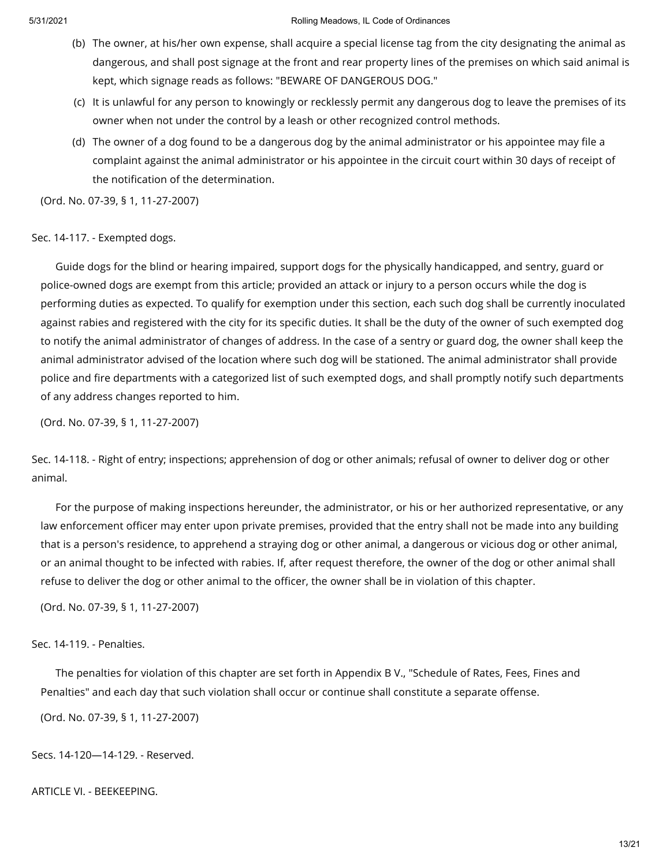- (b) The owner, at his/her own expense, shall acquire a special license tag from the city designating the animal as dangerous, and shall post signage at the front and rear property lines of the premises on which said animal is kept, which signage reads as follows: "BEWARE OF DANGEROUS DOG."
- (c) It is unlawful for any person to knowingly or recklessly permit any dangerous dog to leave the premises of its owner when not under the control by a leash or other recognized control methods.
- (d) The owner of a dog found to be a dangerous dog by the animal administrator or his appointee may file a complaint against the animal administrator or his appointee in the circuit court within 30 days of receipt of the notification of the determination.

(Ord. No. 07-39, § 1, 11-27-2007)

Sec. 14-117. - Exempted dogs.

Guide dogs for the blind or hearing impaired, support dogs for the physically handicapped, and sentry, guard or police-owned dogs are exempt from this article; provided an attack or injury to a person occurs while the dog is performing duties as expected. To qualify for exemption under this section, each such dog shall be currently inoculated against rabies and registered with the city for its specific duties. It shall be the duty of the owner of such exempted dog to notify the animal administrator of changes of address. In the case of a sentry or guard dog, the owner shall keep the animal administrator advised of the location where such dog will be stationed. The animal administrator shall provide police and fire departments with a categorized list of such exempted dogs, and shall promptly notify such departments of any address changes reported to him.

(Ord. No. 07-39, § 1, 11-27-2007)

Sec. 14-118. - Right of entry; inspections; apprehension of dog or other animals; refusal of owner to deliver dog or other animal.

For the purpose of making inspections hereunder, the administrator, or his or her authorized representative, or any law enforcement officer may enter upon private premises, provided that the entry shall not be made into any building that is a person's residence, to apprehend a straying dog or other animal, a dangerous or vicious dog or other animal, or an animal thought to be infected with rabies. If, after request therefore, the owner of the dog or other animal shall refuse to deliver the dog or other animal to the officer, the owner shall be in violation of this chapter.

(Ord. No. 07-39, § 1, 11-27-2007)

# Sec. 14-119. - Penalties.

The penalties for violation of this chapter are set forth in Appendix B V., "Schedule of Rates, Fees, Fines and Penalties" and each day that such violation shall occur or continue shall constitute a separate offense.

(Ord. No. 07-39, § 1, 11-27-2007)

Secs. 14-120—14-129. - Reserved.

ARTICLE VI. - BEEKEEPING.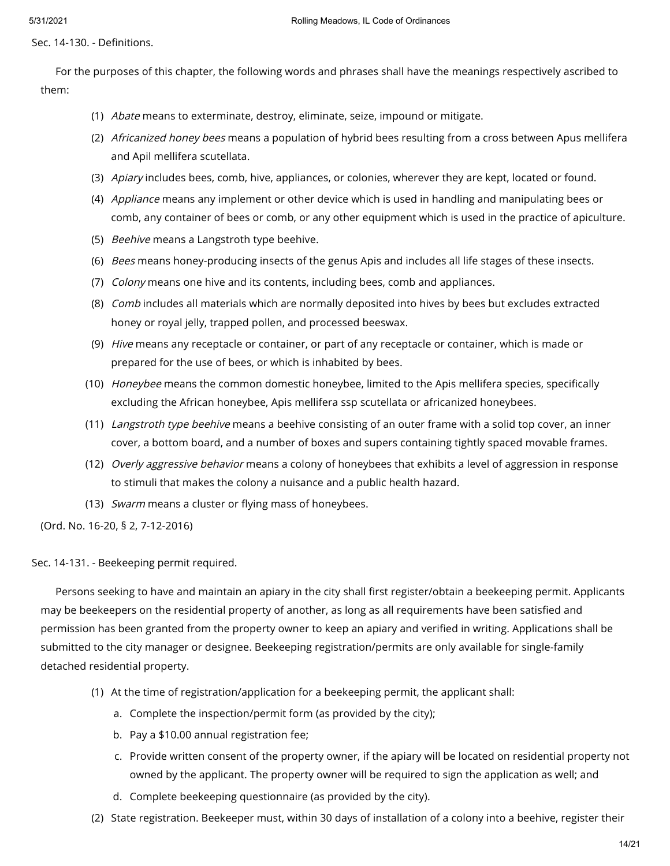Sec. 14-130. - Definitions.

For the purposes of this chapter, the following words and phrases shall have the meanings respectively ascribed to them:

- (1) Abate means to exterminate, destroy, eliminate, seize, impound or mitigate.
- (2) *Africanized honey bees* means a population of hybrid bees resulting from a cross between Apus mellifera and Apil mellifera scutellata.
- (3) Apiary includes bees, comb, hive, appliances, or colonies, wherever they are kept, located or found.
- (4) *Appliance* means any implement or other device which is used in handling and manipulating bees or comb, any container of bees or comb, or any other equipment which is used in the practice of apiculture.
- (5) *Beehive* means a Langstroth type beehive.
- (6) *Bees* means honey-producing insects of the genus Apis and includes all life stages of these insects.
- (7) Colony means one hive and its contents, including bees, comb and appliances.
- (8) *Comb* includes all materials which are normally deposited into hives by bees but excludes extracted honey or royal jelly, trapped pollen, and processed beeswax.
- (9) Hive means any receptacle or container, or part of any receptacle or container, which is made or prepared for the use of bees, or which is inhabited by bees.
- (10) *Honeybee* means the common domestic honeybee, limited to the Apis mellifera species, specifically excluding the African honeybee, Apis mellifera ssp scutellata or africanized honeybees.
- (11) *Langstroth type beehive* means a beehive consisting of an outer frame with a solid top cover, an inner cover, a bottom board, and a number of boxes and supers containing tightly spaced movable frames.
- (12) *Overly aggressive behavior* means a colony of honeybees that exhibits a level of aggression in response to stimuli that makes the colony a nuisance and a public health hazard.
- (13) Swarm means a cluster or flying mass of honeybees.

(Ord. No. 16-20, § 2, 7-12-2016)

Sec. 14-131. - Beekeeping permit required.

Persons seeking to have and maintain an apiary in the city shall first register/obtain a beekeeping permit. Applicants may be beekeepers on the residential property of another, as long as all requirements have been satisfied and permission has been granted from the property owner to keep an apiary and verified in writing. Applications shall be submitted to the city manager or designee. Beekeeping registration/permits are only available for single-family detached residential property.

- (1) At the time of registration/application for a beekeeping permit, the applicant shall:
	- a. Complete the inspection/permit form (as provided by the city);
	- b. Pay a \$10.00 annual registration fee;
	- c. Provide written consent of the property owner, if the apiary will be located on residential property not owned by the applicant. The property owner will be required to sign the application as well; and
	- d. Complete beekeeping questionnaire (as provided by the city).
- (2) State registration. Beekeeper must, within 30 days of installation of a colony into a beehive, register their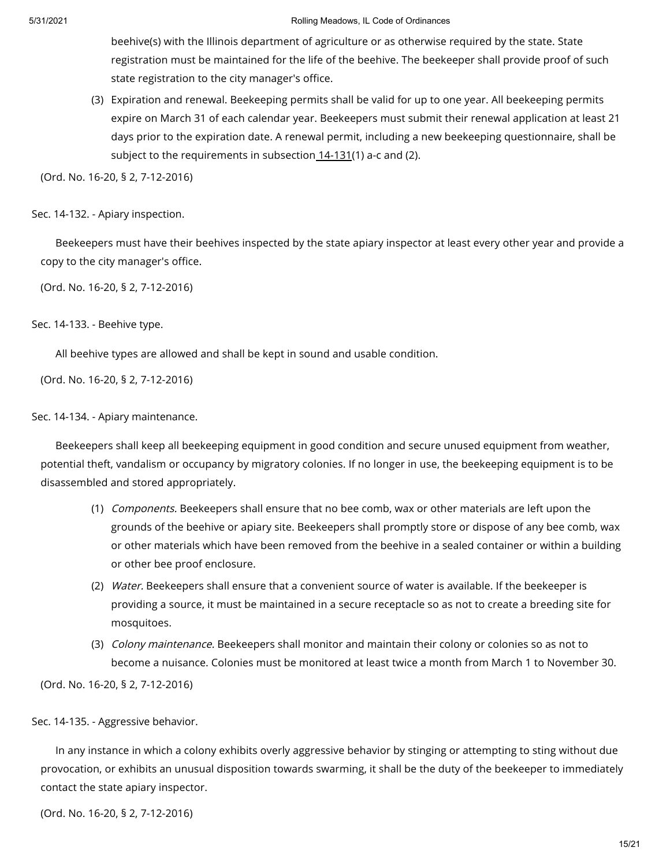beehive(s) with the Illinois department of agriculture or as otherwise required by the state. State registration must be maintained for the life of the beehive. The beekeeper shall provide proof of such state registration to the city manager's office.

(3) Expiration and renewal. Beekeeping permits shall be valid for up to one year. All beekeeping permits expire on March 31 of each calendar year. Beekeepers must submit their renewal application at least 21 days prior to the expiration date. A renewal permit, including a new beekeeping questionnaire, shall be subject to the requirements in subsection [14-131](https://library.municode.com/)(1) a-c and (2).

(Ord. No. 16-20, § 2, 7-12-2016)

## Sec. 14-132. - Apiary inspection.

Beekeepers must have their beehives inspected by the state apiary inspector at least every other year and provide a copy to the city manager's office.

(Ord. No. 16-20, § 2, 7-12-2016)

## Sec. 14-133. - Beehive type.

All beehive types are allowed and shall be kept in sound and usable condition.

(Ord. No. 16-20, § 2, 7-12-2016)

## Sec. 14-134. - Apiary maintenance.

Beekeepers shall keep all beekeeping equipment in good condition and secure unused equipment from weather, potential theft, vandalism or occupancy by migratory colonies. If no longer in use, the beekeeping equipment is to be disassembled and stored appropriately.

- (1) Components. Beekeepers shall ensure that no bee comb, wax or other materials are left upon the grounds of the beehive or apiary site. Beekeepers shall promptly store or dispose of any bee comb, wax or other materials which have been removed from the beehive in a sealed container or within a building or other bee proof enclosure.
- (2) Water. Beekeepers shall ensure that a convenient source of water is available. If the beekeeper is providing a source, it must be maintained in a secure receptacle so as not to create a breeding site for mosquitoes.
- (3) *Colony maintenance.* Beekeepers shall monitor and maintain their colony or colonies so as not to become a nuisance. Colonies must be monitored at least twice a month from March 1 to November 30.

(Ord. No. 16-20, § 2, 7-12-2016)

## Sec. 14-135. - Aggressive behavior.

In any instance in which a colony exhibits overly aggressive behavior by stinging or attempting to sting without due provocation, or exhibits an unusual disposition towards swarming, it shall be the duty of the beekeeper to immediately contact the state apiary inspector.

(Ord. No. 16-20, § 2, 7-12-2016)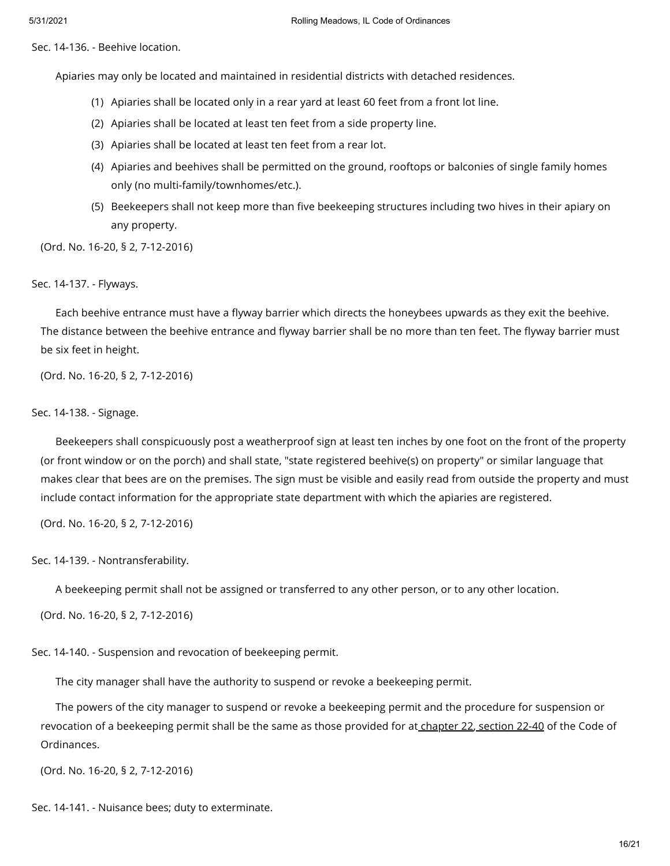Sec. 14-136. - Beehive location.

Apiaries may only be located and maintained in residential districts with detached residences.

- (1) Apiaries shall be located only in a rear yard at least 60 feet from a front lot line.
- (2) Apiaries shall be located at least ten feet from a side property line.
- (3) Apiaries shall be located at least ten feet from a rear lot.
- (4) Apiaries and beehives shall be permitted on the ground, rooftops or balconies of single family homes only (no multi-family/townhomes/etc.).
- (5) Beekeepers shall not keep more than five beekeeping structures including two hives in their apiary on any property.

(Ord. No. 16-20, § 2, 7-12-2016)

#### Sec. 14-137. - Flyways.

Each beehive entrance must have a flyway barrier which directs the honeybees upwards as they exit the beehive. The distance between the beehive entrance and flyway barrier shall be no more than ten feet. The flyway barrier must be six feet in height.

(Ord. No. 16-20, § 2, 7-12-2016)

## Sec. 14-138. - Signage.

Beekeepers shall conspicuously post a weatherproof sign at least ten inches by one foot on the front of the property (or front window or on the porch) and shall state, "state registered beehive(s) on property" or similar language that makes clear that bees are on the premises. The sign must be visible and easily read from outside the property and must include contact information for the appropriate state department with which the apiaries are registered.

(Ord. No. 16-20, § 2, 7-12-2016)

Sec. 14-139. - Nontransferability.

A beekeeping permit shall not be assigned or transferred to any other person, or to any other location.

(Ord. No. 16-20, § 2, 7-12-2016)

Sec. 14-140. - Suspension and revocation of beekeeping permit.

The city manager shall have the authority to suspend or revoke a beekeeping permit.

The powers of the city manager to suspend or revoke a beekeeping permit and the procedure for suspension or revocation of a beekeeping permit shall be the same as those provided for at [chapter](https://library.municode.com/) 22, [section](https://library.municode.com/) 22-40 of the Code of Ordinances.

(Ord. No. 16-20, § 2, 7-12-2016)

Sec. 14-141. - Nuisance bees; duty to exterminate.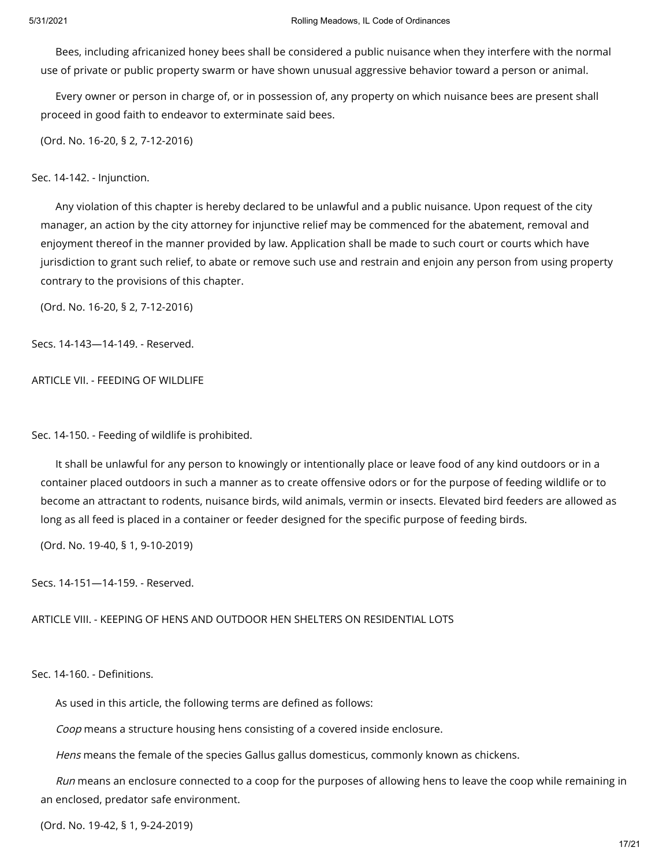Bees, including africanized honey bees shall be considered a public nuisance when they interfere with the normal use of private or public property swarm or have shown unusual aggressive behavior toward a person or animal.

Every owner or person in charge of, or in possession of, any property on which nuisance bees are present shall proceed in good faith to endeavor to exterminate said bees.

(Ord. No. 16-20, § 2, 7-12-2016)

Sec. 14-142. - Injunction.

Any violation of this chapter is hereby declared to be unlawful and a public nuisance. Upon request of the city manager, an action by the city attorney for injunctive relief may be commenced for the abatement, removal and enjoyment thereof in the manner provided by law. Application shall be made to such court or courts which have jurisdiction to grant such relief, to abate or remove such use and restrain and enjoin any person from using property contrary to the provisions of this chapter.

(Ord. No. 16-20, § 2, 7-12-2016)

Secs. 14-143—14-149. - Reserved.

ARTICLE VII. - FEEDING OF WILDLIFE

Sec. 14-150. - Feeding of wildlife is prohibited.

It shall be unlawful for any person to knowingly or intentionally place or leave food of any kind outdoors or in a container placed outdoors in such a manner as to create offensive odors or for the purpose of feeding wildlife or to become an attractant to rodents, nuisance birds, wild animals, vermin or insects. Elevated bird feeders are allowed as long as all feed is placed in a container or feeder designed for the specific purpose of feeding birds.

(Ord. No. 19-40, § 1, 9-10-2019)

Secs. 14-151—14-159. - Reserved.

ARTICLE VIII. - KEEPING OF HENS AND OUTDOOR HEN SHELTERS ON RESIDENTIAL LOTS

Sec. 14-160. - Definitions.

As used in this article, the following terms are defined as follows:

Coop means a structure housing hens consisting of a covered inside enclosure.

Hens means the female of the species Gallus gallus domesticus, commonly known as chickens.

Run means an enclosure connected to a coop for the purposes of allowing hens to leave the coop while remaining in an enclosed, predator safe environment.

(Ord. No. 19-42, § 1, 9-24-2019)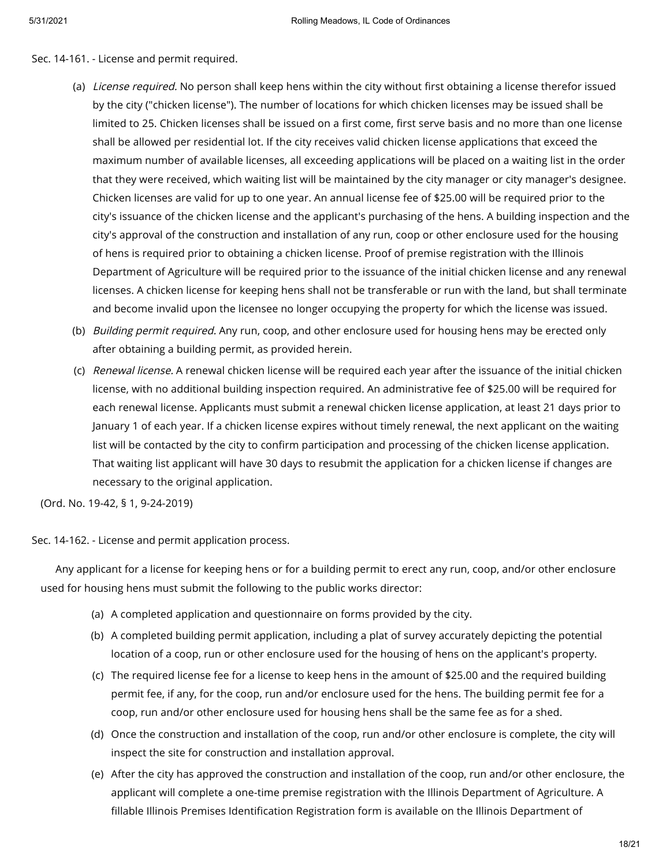Sec. 14-161. - License and permit required.

- (a) *License required.* No person shall keep hens within the city without first obtaining a license therefor issued by the city ("chicken license"). The number of locations for which chicken licenses may be issued shall be limited to 25. Chicken licenses shall be issued on a first come, first serve basis and no more than one license shall be allowed per residential lot. If the city receives valid chicken license applications that exceed the maximum number of available licenses, all exceeding applications will be placed on a waiting list in the order that they were received, which waiting list will be maintained by the city manager or city manager's designee. Chicken licenses are valid for up to one year. An annual license fee of \$25.00 will be required prior to the city's issuance of the chicken license and the applicant's purchasing of the hens. A building inspection and the city's approval of the construction and installation of any run, coop or other enclosure used for the housing of hens is required prior to obtaining a chicken license. Proof of premise registration with the Illinois Department of Agriculture will be required prior to the issuance of the initial chicken license and any renewal licenses. A chicken license for keeping hens shall not be transferable or run with the land, but shall terminate and become invalid upon the licensee no longer occupying the property for which the license was issued.
- (b) *Building permit required.* Any run, coop, and other enclosure used for housing hens may be erected only after obtaining a building permit, as provided herein.
- (c) *Renewal license.* A renewal chicken license will be required each year after the issuance of the initial chicken license, with no additional building inspection required. An administrative fee of \$25.00 will be required for each renewal license. Applicants must submit a renewal chicken license application, at least 21 days prior to January 1 of each year. If a chicken license expires without timely renewal, the next applicant on the waiting list will be contacted by the city to confirm participation and processing of the chicken license application. That waiting list applicant will have 30 days to resubmit the application for a chicken license if changes are necessary to the original application.

(Ord. No. 19-42, § 1, 9-24-2019)

Sec. 14-162. - License and permit application process.

Any applicant for a license for keeping hens or for a building permit to erect any run, coop, and/or other enclosure used for housing hens must submit the following to the public works director:

- (a) A completed application and questionnaire on forms provided by the city.
- (b) A completed building permit application, including a plat of survey accurately depicting the potential location of a coop, run or other enclosure used for the housing of hens on the applicant's property.
- (c) The required license fee for a license to keep hens in the amount of \$25.00 and the required building permit fee, if any, for the coop, run and/or enclosure used for the hens. The building permit fee for a coop, run and/or other enclosure used for housing hens shall be the same fee as for a shed.
- (d) Once the construction and installation of the coop, run and/or other enclosure is complete, the city will inspect the site for construction and installation approval.
- (e) After the city has approved the construction and installation of the coop, run and/or other enclosure, the applicant will complete a one-time premise registration with the Illinois Department of Agriculture. A fillable Illinois Premises Identification Registration form is available on the Illinois Department of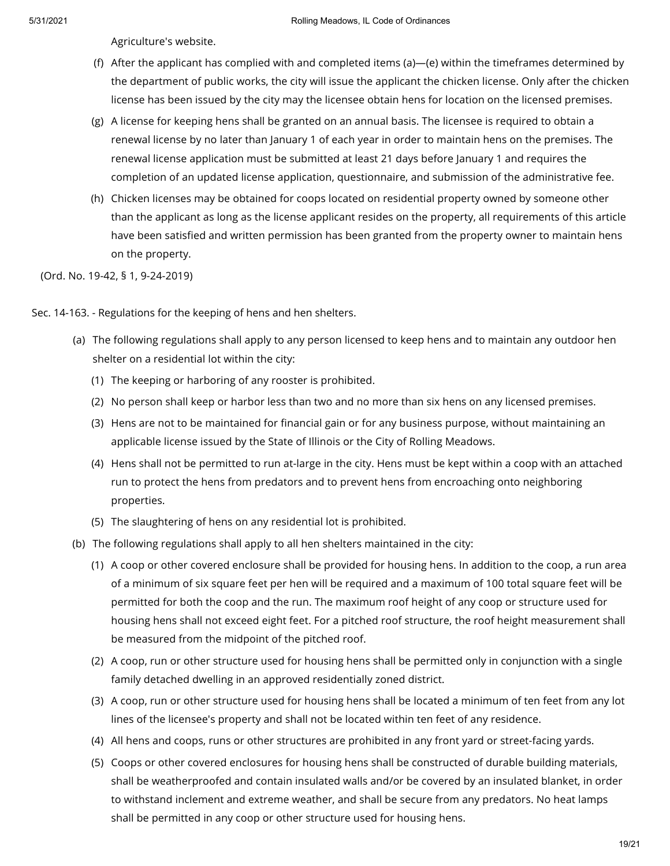Agriculture's website.

- (f) After the applicant has complied with and completed items (a)—(e) within the timeframes determined by the department of public works, the city will issue the applicant the chicken license. Only after the chicken license has been issued by the city may the licensee obtain hens for location on the licensed premises.
- (g) A license for keeping hens shall be granted on an annual basis. The licensee is required to obtain a renewal license by no later than January 1 of each year in order to maintain hens on the premises. The renewal license application must be submitted at least 21 days before January 1 and requires the completion of an updated license application, questionnaire, and submission of the administrative fee.
- (h) Chicken licenses may be obtained for coops located on residential property owned by someone other than the applicant as long as the license applicant resides on the property, all requirements of this article have been satisfied and written permission has been granted from the property owner to maintain hens on the property.

(Ord. No. 19-42, § 1, 9-24-2019)

Sec. 14-163. - Regulations for the keeping of hens and hen shelters.

- (a) The following regulations shall apply to any person licensed to keep hens and to maintain any outdoor hen shelter on a residential lot within the city:
	- (1) The keeping or harboring of any rooster is prohibited.
	- (2) No person shall keep or harbor less than two and no more than six hens on any licensed premises.
	- (3) Hens are not to be maintained for financial gain or for any business purpose, without maintaining an applicable license issued by the State of Illinois or the City of Rolling Meadows.
	- (4) Hens shall not be permitted to run at-large in the city. Hens must be kept within a coop with an attached run to protect the hens from predators and to prevent hens from encroaching onto neighboring properties.
	- (5) The slaughtering of hens on any residential lot is prohibited.
- (b) The following regulations shall apply to all hen shelters maintained in the city:
	- (1) A coop or other covered enclosure shall be provided for housing hens. In addition to the coop, a run area of a minimum of six square feet per hen will be required and a maximum of 100 total square feet will be permitted for both the coop and the run. The maximum roof height of any coop or structure used for housing hens shall not exceed eight feet. For a pitched roof structure, the roof height measurement shall be measured from the midpoint of the pitched roof.
	- (2) A coop, run or other structure used for housing hens shall be permitted only in conjunction with a single family detached dwelling in an approved residentially zoned district.
	- (3) A coop, run or other structure used for housing hens shall be located a minimum of ten feet from any lot lines of the licensee's property and shall not be located within ten feet of any residence.
	- (4) All hens and coops, runs or other structures are prohibited in any front yard or street-facing yards.
	- (5) Coops or other covered enclosures for housing hens shall be constructed of durable building materials, shall be weatherproofed and contain insulated walls and/or be covered by an insulated blanket, in order to withstand inclement and extreme weather, and shall be secure from any predators. No heat lamps shall be permitted in any coop or other structure used for housing hens.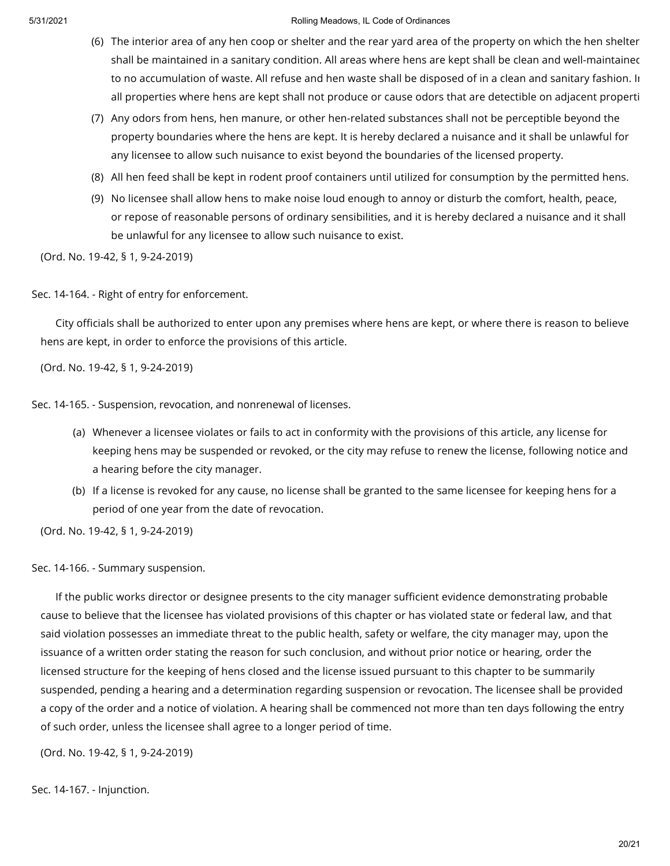- (6) The interior area of any hen coop or shelter and the rear yard area of the property on which the hen shelter shall be maintained in a sanitary condition. All areas where hens are kept shall be clean and well-maintained to no accumulation of waste. All refuse and hen waste shall be disposed of in a clean and sanitary fashion. In all properties where hens are kept shall not produce or cause odors that are detectible on adjacent properti
- (7) Any odors from hens, hen manure, or other hen-related substances shall not be perceptible beyond the property boundaries where the hens are kept. It is hereby declared a nuisance and it shall be unlawful for any licensee to allow such nuisance to exist beyond the boundaries of the licensed property.
- (8) All hen feed shall be kept in rodent proof containers until utilized for consumption by the permitted hens.
- (9) No licensee shall allow hens to make noise loud enough to annoy or disturb the comfort, health, peace, or repose of reasonable persons of ordinary sensibilities, and it is hereby declared a nuisance and it shall be unlawful for any licensee to allow such nuisance to exist.

(Ord. No. 19-42, § 1, 9-24-2019)

Sec. 14-164. - Right of entry for enforcement.

City officials shall be authorized to enter upon any premises where hens are kept, or where there is reason to believe hens are kept, in order to enforce the provisions of this article.

(Ord. No. 19-42, § 1, 9-24-2019)

Sec. 14-165. - Suspension, revocation, and nonrenewal of licenses.

- (a) Whenever a licensee violates or fails to act in conformity with the provisions of this article, any license for keeping hens may be suspended or revoked, or the city may refuse to renew the license, following notice and a hearing before the city manager.
- (b) If a license is revoked for any cause, no license shall be granted to the same licensee for keeping hens for a period of one year from the date of revocation.

(Ord. No. 19-42, § 1, 9-24-2019)

Sec. 14-166. - Summary suspension.

If the public works director or designee presents to the city manager sufficient evidence demonstrating probable cause to believe that the licensee has violated provisions of this chapter or has violated state or federal law, and that said violation possesses an immediate threat to the public health, safety or welfare, the city manager may, upon the issuance of a written order stating the reason for such conclusion, and without prior notice or hearing, order the licensed structure for the keeping of hens closed and the license issued pursuant to this chapter to be summarily suspended, pending a hearing and a determination regarding suspension or revocation. The licensee shall be provided a copy of the order and a notice of violation. A hearing shall be commenced not more than ten days following the entry of such order, unless the licensee shall agree to a longer period of time.

(Ord. No. 19-42, § 1, 9-24-2019)

Sec. 14-167. - Injunction.